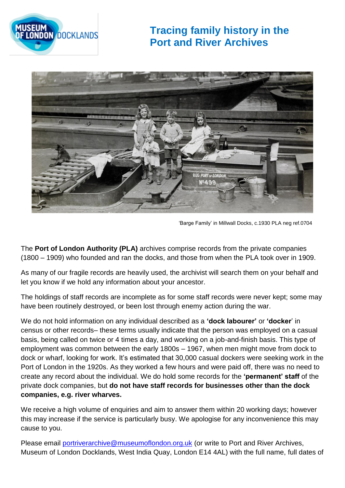

## **Tracing family history in the Port and River Archives**



'Barge Family' in Millwall Docks, c.1930 PLA neg ref.0704

The **Port of London Authority (PLA)** archives comprise records from the private companies (1800 – 1909) who founded and ran the docks, and those from when the PLA took over in 1909.

As many of our fragile records are heavily used, the archivist will search them on your behalf and let you know if we hold any information about your ancestor.

The holdings of staff records are incomplete as for some staff records were never kept; some may have been routinely destroyed, or been lost through enemy action during the war.

We do not hold information on any individual described as a **'dock labourer'** or **'docker**' in census or other records– these terms usually indicate that the person was employed on a casual basis, being called on twice or 4 times a day, and working on a job-and-finish basis. This type of employment was common between the early 1800s – 1967, when men might move from dock to dock or wharf, looking for work. It's estimated that 30,000 casual dockers were seeking work in the Port of London in the 1920s. As they worked a few hours and were paid off, there was no need to create any record about the individual. We do hold some records for the **'permanent' staff** of the private dock companies, but **do not have staff records for businesses other than the dock companies, e.g. river wharves.**

We receive a high volume of enquiries and aim to answer them within 20 working days; however this may increase if the service is particularly busy. We apologise for any inconvenience this may cause to you.

Please email [portriverarchive@museumoflondon.org.uk](mailto:portriverarchive@museumoflondon.org.uk) (or write to Port and River Archives, Museum of London Docklands, West India Quay, London E14 4AL) with the full name, full dates of